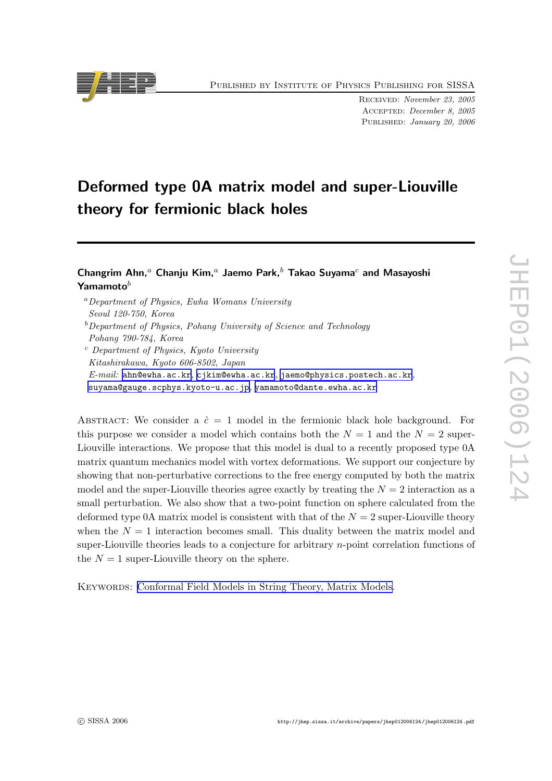Published by Institute of Physics Publishing for SISSA

Received: November 23, 2005 Accepted: December 8, 2005 PUBLISHED: January 20, 2006

# Deformed type 0A matrix model and super-Liouville theory for fermionic black holes

## Changrim Ahn,<sup>a</sup> Chanju Kim,<sup>a</sup> Jaemo Park,<sup> $b$ </sup> Takao Suyama<sup>c</sup> and Masayoshi  $\mathsf{Y}$ amamoto $^b$

<sup>a</sup>Department of Physics, Ewha Womans University Seoul 120-750, Korea  $b$ Department of Physics, Pohang University of Science and Technology Pohang 790-784, Korea <sup>c</sup> Department of Physics, Kyoto University Kitashirakawa, Kyoto 606-8502, Japan  $E\text{-}mail:$  [ahn@ewha.ac.kr](mailto:ahn@ewha.ac.kr), [cjkim@ewha.ac.kr](mailto:cjkim@ewha.ac.kr), [jaemo@physics.postech.ac.kr](mailto:jaemo@physics.postech.ac.kr),

[suyama@gauge.scphys.kyoto-u.ac.jp](mailto:suyama@gauge.scphys.kyoto-u.ac.jp) , [yamamoto@dante.ewha.ac.kr](mailto:yamamoto@dante.ewha.ac.kr)

ABSTRACT: We consider a  $\hat{c} = 1$  model in the fermionic black hole background. For this purpose we consider a model which contains both the  $N=1$  and the  $N=2$  super-Liouville interactions. We propose that this model is dual to a recently proposed type 0A matrix quantum mechanics model with vortex deformations. We support our conjecture by showing that non-perturbative corrections to the free energy computed by both the matrix model and the super-Liouville theories agree exactly by treating the  $N = 2$  interaction as a small perturbation. We also show that a two-point function on sphere calculated from the deformed type 0A matrix model is consistent with that of the  $N = 2$  super-Liouville theory when the  $N = 1$  interaction becomes small. This duality between the matrix model and super-Liouville theories leads to a conjecture for arbitrary n-point correlation functions of the  $N = 1$  super-Liouville theory on the sphere.

KEYWORDS: [Conformal Field Models in String Theory, Matrix Models.](http://jhep.sissa.it/stdsearch)

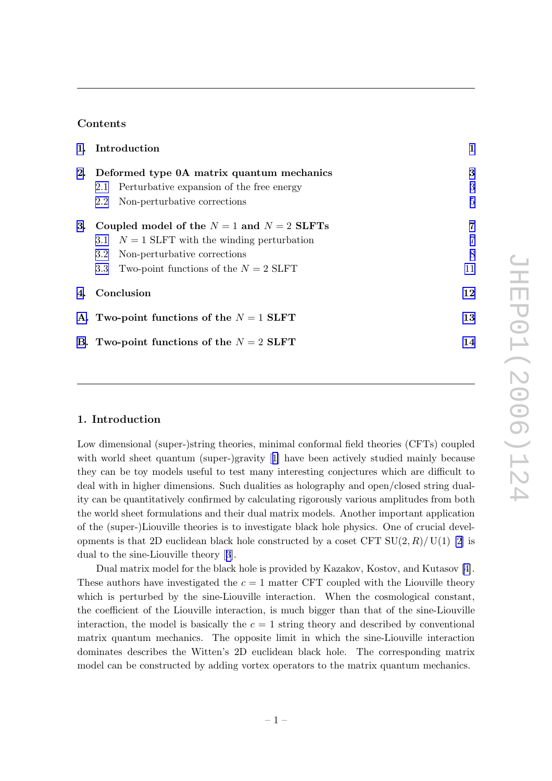### Contents

|    | 1. Introduction                                |                                                | 1  |
|----|------------------------------------------------|------------------------------------------------|----|
| 2. | Deformed type 0A matrix quantum mechanics      |                                                | 3  |
|    |                                                | 2.1 Perturbative expansion of the free energy  | 3  |
|    | $2.2^{\circ}$                                  | Non-perturbative corrections                   | 5  |
| 3. | Coupled model of the $N = 1$ and $N = 2$ SLFTs |                                                | 7  |
|    |                                                | 3.1 $N = 1$ SLFT with the winding perturbation | 7  |
|    | $3.2\,$                                        | Non-perturbative corrections                   | 8  |
|    | 3.3 <sub>1</sub>                               | Two-point functions of the $N = 2$ SLFT        | 11 |
|    | 4. Conclusion                                  |                                                | 12 |
|    | A. Two-point functions of the $N = 1$ SLFT     |                                                | 13 |
|    | B. Two-point functions of the $N = 2$ SLFT     |                                                |    |

#### 1. Introduction

Low dimensional (super-)string theories, minimal conformal field theories (CFTs) coupled with world sheet quantum (super-)gravity [[1\]](#page-15-0) have been actively studied mainly because they can be toy models useful to test many interesting conjectures which are difficult to deal with in higher dimensions. Such dualities as holography and open/closed string duality can be quantitatively confirmed by calculating rigorously various amplitudes from both the world sheet formulations and their dual matrix models. Another important application of the (super-)Liouville theories is to investigate black hole physics. One of crucial developments is that 2D euclidean black hole constructed by a coset CFT  $SU(2, R)/U(1)$  [\[2\]](#page-15-0) is dual to the sine-Liouville theory [[3](#page-15-0)].

Dual matrix model for the black hole is provided by Kazakov, Kostov, and Kutasov [\[4\]](#page-15-0). These authors have investigated the  $c = 1$  matter CFT coupled with the Liouville theory which is perturbed by the sine-Liouville interaction. When the cosmological constant, the coefficient of the Liouville interaction, is much bigger than that of the sine-Liouville interaction, the model is basically the  $c = 1$  string theory and described by conventional matrix quantum mechanics. The opposite limit in which the sine-Liouville interaction dominates describes the Witten's 2D euclidean black hole. The corresponding matrix model can be constructed by adding vortex operators to the matrix quantum mechanics.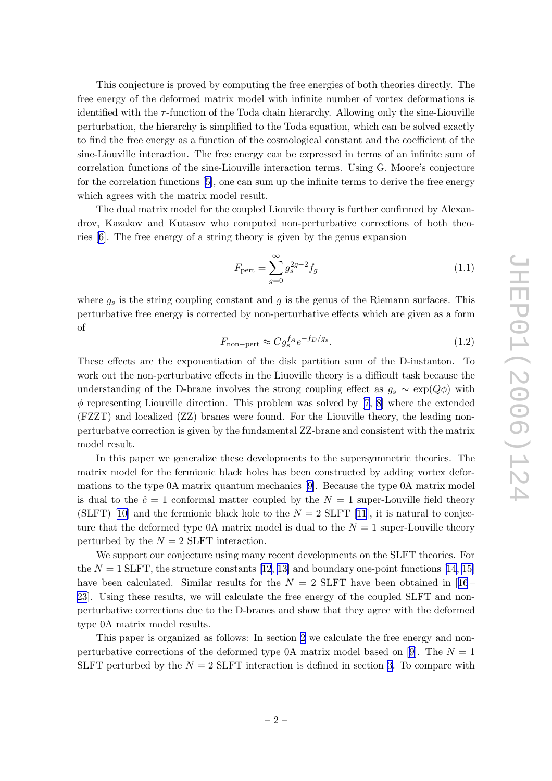This conjecture is proved by computing the free energies of both theories directly. The free energy of the deformed matrix model with infinite number of vortex deformations is identified with the  $\tau$ -function of the Toda chain hierarchy. Allowing only the sine-Liouville perturbation, the hierarchy is simplified to the Toda equation, which can be solved exactly to find the free energy as a function of the cosmological constant and the coefficient of the sine-Liouville interaction. The free energy can be expressed in terms of an infinite sum of correlation functions of the sine-Liouville interaction terms. Using G. Moore's conjecture for the correlation functions [\[5\]](#page-16-0), one can sum up the infinite terms to derive the free energy which agrees with the matrix model result.

The dual matrix model for the coupled Liouvile theory is further confirmed by Alexandrov, Kazakov and Kutasov who computed non-perturbative corrections of both theories [\[6\]](#page-16-0). The free energy of a string theory is given by the genus expansion

$$
F_{\text{pert}} = \sum_{g=0}^{\infty} g_s^{2g-2} f_g \tag{1.1}
$$

where  $g_s$  is the string coupling constant and  $g$  is the genus of the Riemann surfaces. This perturbative free energy is corrected by non-perturbative effects which are given as a form of

$$
F_{\text{non-pert}} \approx C g_s^{f_A} e^{-f_D/g_s}.\tag{1.2}
$$

These effects are the exponentiation of the disk partition sum of the D-instanton. To work out the non-perturbative effects in the Liuoville theory is a difficult task because the understanding of the D-brane involves the strong coupling effect as  $g_s \sim \exp(Q\phi)$  with  $\phi$  representing Liouville direction. This problem was solved by [\[7](#page-16-0), [8](#page-16-0)] where the extended (FZZT) and localized (ZZ) branes were found. For the Liouville theory, the leading nonperturbatve correction is given by the fundamental ZZ-brane and consistent with the matrix model result.

In this paper we generalize these developments to the supersymmetric theories. The matrix model for the fermionic black holes has been constructed by adding vortex deformations to the type 0A matrix quantum mechanics [\[9\]](#page-16-0). Because the type 0A matrix model is dual to the  $\hat{c} = 1$  conformal matter coupled by the  $N = 1$  super-Louville field theory (SLFT) [\[10](#page-16-0)] and the fermionic black hole to the  $N = 2$  SLFT [\[11](#page-16-0)], it is natural to conjecture that the deformed type 0A matrix model is dual to the  $N = 1$  super-Louville theory perturbed by the  $N = 2$  SLFT interaction.

We support our conjecture using many recent developments on the SLFT theories. For the  $N = 1$  SLFT, the structure constants [\[12, 13\]](#page-16-0) and boundary one-point functions [\[14](#page-16-0), [15\]](#page-16-0) have been calculated. Similar results for the  $N = 2$  SLFT have been obtained in [[16](#page-16-0) – [23](#page-16-0)]. Using these results, we will calculate the free energy of the coupled SLFT and nonperturbative corrections due to the D-branes and show that they agree with the deformed type 0A matrix model results.

This paper is organized as follows: In section [2](#page-3-0) we calculate the free energy and non-perturbative corrections of the deformed type 0A matrix model based on [\[9\]](#page-16-0). The  $N = 1$ SLFT perturbed by the  $N = 2$  SLFT interaction is defined in section [3](#page-7-0). To compare with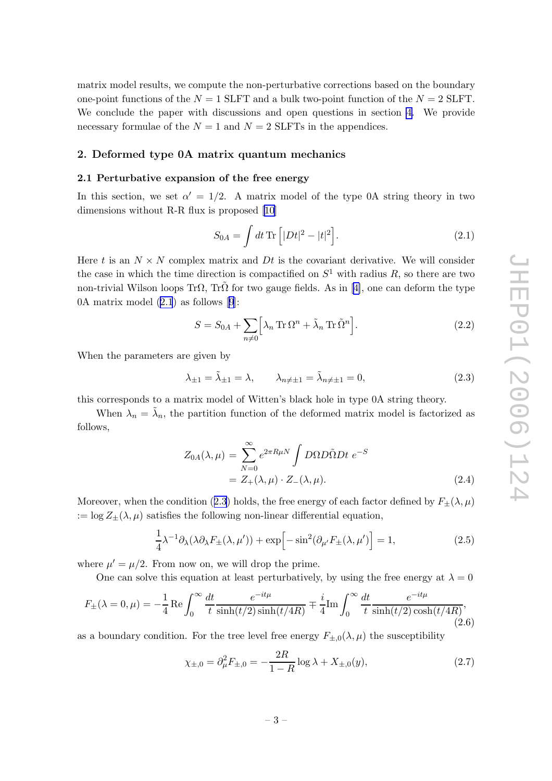<span id="page-3-0"></span>matrix model results, we compute the non-perturbative corrections based on the boundary one-point functions of the  $N = 1$  SLFT and a bulk two-point function of the  $N = 2$  SLFT. We conclude the paper with discussions and open questions in section [4.](#page-12-0) We provide necessary formulae of the  $N = 1$  and  $N = 2$  SLFTs in the appendices.

#### 2. Deformed type 0A matrix quantum mechanics

#### 2.1 Perturbative expansion of the free energy

In this section, we set  $\alpha' = 1/2$ . A matrix model of the type 0A string theory in two dimensions without R-R flux is proposed [\[10\]](#page-16-0)

$$
S_{0A} = \int dt \,\text{Tr}\left[ |Dt|^2 - |t|^2 \right]. \tag{2.1}
$$

Here t is an  $N \times N$  complex matrix and  $Dt$  is the covariant derivative. We will consider the case in which the time direction is compactified on  $S^1$  with radius R, so there are two non-trivial Wilson loops Tr $\Omega$ , Tr $\tilde{\Omega}$  for two gauge fields. As in [\[4\]](#page-15-0), one can deform the type 0A matrix model (2.1) as follows [[9](#page-16-0)]:

$$
S = S_{0A} + \sum_{n \neq 0} \left[ \lambda_n \operatorname{Tr} \Omega^n + \tilde{\lambda}_n \operatorname{Tr} \tilde{\Omega}^n \right].
$$
 (2.2)

When the parameters are given by

$$
\lambda_{\pm 1} = \tilde{\lambda}_{\pm 1} = \lambda, \qquad \lambda_{n \neq \pm 1} = \tilde{\lambda}_{n \neq \pm 1} = 0,\tag{2.3}
$$

this corresponds to a matrix model of Witten's black hole in type 0A string theory.

When  $\lambda_n = \tilde{\lambda}_n$ , the partition function of the deformed matrix model is factorized as follows,

$$
Z_{0A}(\lambda,\mu) = \sum_{N=0}^{\infty} e^{2\pi R\mu N} \int D\Omega D\tilde{\Omega} Dt \ e^{-S}
$$
  
=  $Z_{+}(\lambda,\mu) \cdot Z_{-}(\lambda,\mu).$  (2.4)

Moreover, when the condition (2.3) holds, the free energy of each factor defined by  $F_{\pm}(\lambda,\mu)$  $:= \log Z_{\pm}(\lambda, \mu)$  satisfies the following non-linear differential equation,

$$
\frac{1}{4}\lambda^{-1}\partial_{\lambda}(\lambda\partial_{\lambda}F_{\pm}(\lambda,\mu')) + \exp\left[-\sin^{2}(\partial_{\mu'}F_{\pm}(\lambda,\mu')\right] = 1, \tag{2.5}
$$

where  $\mu' = \mu/2$ . From now on, we will drop the prime.

One can solve this equation at least perturbatively, by using the free energy at  $\lambda = 0$ 

$$
F_{\pm}(\lambda = 0, \mu) = -\frac{1}{4} \operatorname{Re} \int_0^{\infty} \frac{dt}{t} \frac{e^{-it\mu}}{\sinh(t/2)\sinh(t/4R)} \mp \frac{i}{4} \operatorname{Im} \int_0^{\infty} \frac{dt}{t} \frac{e^{-it\mu}}{\sinh(t/2)\cosh(t/4R)},
$$
\n(2.6)

as a boundary condition. For the tree level free energy  $F_{\pm,0}(\lambda,\mu)$  the susceptibility

$$
\chi_{\pm,0} = \partial_{\mu}^{2} F_{\pm,0} = -\frac{2R}{1-R} \log \lambda + X_{\pm,0}(y), \tag{2.7}
$$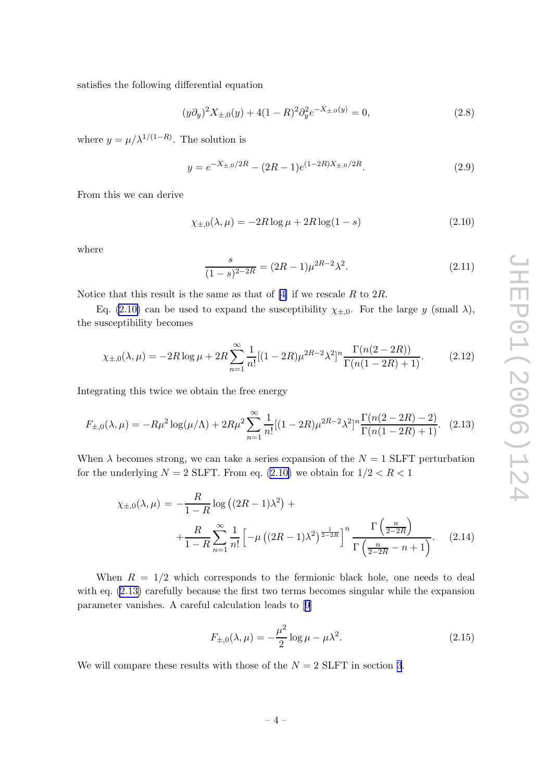<span id="page-4-0"></span>satisfies the following differential equation

$$
(y\partial_y)^2 X_{\pm,0}(y) + 4(1-R)^2 \partial_y^2 e^{-X_{\pm,0}(y)} = 0,
$$
\n(2.8)

where  $y = \mu/\lambda^{1/(1-R)}$ . The solution is

$$
y = e^{-X_{\pm,0}/2R} - (2R - 1)e^{(1-2R)X_{\pm,0}/2R}.
$$
\n(2.9)

From this we can derive

$$
\chi_{\pm,0}(\lambda,\mu) = -2R\log\mu + 2R\log(1-s)
$$
\n(2.10)

where

$$
\frac{s}{(1-s)^{2-2R}} = (2R-1)\mu^{2R-2}\lambda^2.
$$
\n(2.11)

Notice that this result is the same as that of  $[4]$  if we rescale R to  $2R$ .

Eq. (2.10) can be used to expand the susceptibility  $\chi_{\pm,0}$ . For the large y (small  $\lambda$ ), the susceptibility becomes

$$
\chi_{\pm,0}(\lambda,\mu) = -2R\log\mu + 2R\sum_{n=1}^{\infty} \frac{1}{n!} [(1-2R)\mu^{2R-2}\lambda^2]^n \frac{\Gamma(n(2-2R))}{\Gamma(n(1-2R)+1)}.
$$
 (2.12)

Integrating this twice we obtain the free energy

$$
F_{\pm,0}(\lambda,\mu) = -R\mu^2 \log(\mu/\Lambda) + 2R\mu^2 \sum_{n=1}^{\infty} \frac{1}{n!} [(1 - 2R)\mu^{2R-2} \lambda^2]^n \frac{\Gamma(n(2 - 2R) - 2)}{\Gamma(n(1 - 2R) + 1)}.
$$
 (2.13)

When  $\lambda$  becomes strong, we can take a series expansion of the  $N = 1$  SLFT perturbation for the underlying  $N = 2$  SLFT. From eq. (2.10) we obtain for  $1/2 < R < 1$ 

$$
\chi_{\pm,0}(\lambda,\mu) = -\frac{R}{1-R}\log\left((2R-1)\lambda^2\right) + \frac{R}{1-R}\sum_{n=1}^{\infty}\frac{1}{n!}\left[-\mu\left((2R-1)\lambda^2\right)^{\frac{1}{2-2R}}\right]^n \frac{\Gamma\left(\frac{n}{2-2R}\right)}{\Gamma\left(\frac{n}{2-2R}-n+1\right)}.
$$
 (2.14)

When  $R = 1/2$  which corresponds to the fermionic black hole, one needs to deal with eq. (2.13) carefully because the first two terms becomes singular while the expansion parameter vanishes. A careful calculation leads to [[9](#page-16-0)]

$$
F_{\pm,0}(\lambda,\mu) = -\frac{\mu^2}{2}\log \mu - \mu \lambda^2.
$$
 (2.15)

We will compare these results with those of the  $N = 2$  SLFT in section [3](#page-7-0).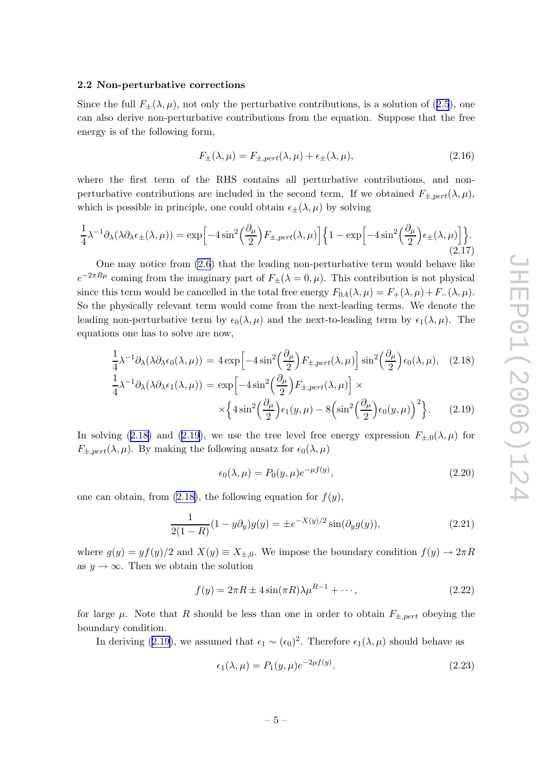#### <span id="page-5-0"></span>2.2 Non-perturbative corrections

Since the full  $F_{\pm}(\lambda,\mu)$ , not only the perturbative contributions, is a solution of ([2.5](#page-3-0)), one can also derive non-perturbative contributions from the equation. Suppose that the free energy is of the following form,

$$
F_{\pm}(\lambda,\mu) = F_{\pm,pert}(\lambda,\mu) + \epsilon_{\pm}(\lambda,\mu), \tag{2.16}
$$

where the first term of the RHS contains all perturbative contributions, and nonperturbative contributions are included in the second term. If we obtained  $F_{\pm, pert}(\lambda, \mu)$ , which is possible in principle, one could obtain  $\epsilon_{\pm}(\lambda,\mu)$  by solving

$$
\frac{1}{4}\lambda^{-1}\partial_{\lambda}(\lambda\partial_{\lambda}\epsilon_{\pm}(\lambda,\mu)) = \exp\Big[-4\sin^{2}\Big(\frac{\partial_{\mu}}{2}\Big)F_{\pm,pert}(\lambda,\mu)\Big]\Big\{1 - \exp\Big[-4\sin^{2}\Big(\frac{\partial_{\mu}}{2}\Big)\epsilon_{\pm}(\lambda,\mu)\Big]\Big\}.\tag{2.17}
$$

One may notice from [\(2.6](#page-3-0)) that the leading non-perturbative term would behave like  $e^{-2\pi R\mu}$  coming from the imaginary part of  $F_{\pm}(\lambda=0,\mu)$ . This contribution is not physical since this term would be cancelled in the total free energy  $F_{0A}(\lambda,\mu) = F_{+}(\lambda,\mu) + F_{-}(\lambda,\mu)$ . So the physically relevant term would come from the next-leading terms. We denote the leading non-perturbative term by  $\epsilon_0(\lambda,\mu)$  and the next-to-leading term by  $\epsilon_1(\lambda,\mu)$ . The equations one has to solve are now,

$$
\frac{1}{4}\lambda^{-1}\partial_{\lambda}(\lambda\partial_{\lambda}\epsilon_{0}(\lambda,\mu)) = 4 \exp\left[-4 \sin^{2}\left(\frac{\partial_{\mu}}{2}\right) F_{\pm,pert}(\lambda,\mu)\right] \sin^{2}\left(\frac{\partial_{\mu}}{2}\right) \epsilon_{0}(\lambda,\mu), \quad (2.18)
$$

$$
\frac{1}{4}\lambda^{-1}\partial_{\lambda}(\lambda\partial_{\lambda}\epsilon_{1}(\lambda,\mu)) = \exp\left[-4 \sin^{2}\left(\frac{\partial_{\mu}}{2}\right) F_{\pm,pert}(\lambda,\mu)\right] \times
$$

$$
\times \left\{4 \sin^{2}\left(\frac{\partial_{\mu}}{2}\right) \epsilon_{1}(y,\mu) - 8 \left(\sin^{2}\left(\frac{\partial_{\mu}}{2}\right) \epsilon_{0}(y,\mu)\right)^{2}\right\}.
$$
(2.19)

In solving (2.18) and (2.19), we use the tree level free energy expression  $F_{\pm,0}(\lambda,\mu)$  for  $F_{\pm,pert}(\lambda,\mu)$ . By making the following ansatz for  $\epsilon_0(\lambda,\mu)$ 

$$
\epsilon_0(\lambda,\mu) = P_0(y,\mu)e^{-\mu f(y)},\tag{2.20}
$$

one can obtain, from  $(2.18)$ , the following equation for  $f(y)$ ,

$$
\frac{1}{2(1-R)}(1-y\partial_y)g(y) = \pm e^{-X(y)/2}\sin(\partial_y g(y)),\tag{2.21}
$$

where  $g(y) = yf(y)/2$  and  $X(y) \equiv X_{\pm,0}$ . We impose the boundary condition  $f(y) \to 2\pi R$ as  $y \to \infty$ . Then we obtain the solution

$$
f(y) = 2\pi R \pm 4\sin(\pi R)\lambda \mu^{R-1} + \cdots,
$$
\n(2.22)

for large  $\mu$ . Note that R should be less than one in order to obtain  $F_{\pm,pert}$  obeying the boundary condition.

In deriving (2.19), we assumed that  $\epsilon_1 \sim (\epsilon_0)^2$ . Therefore  $\epsilon_1(\lambda, \mu)$  should behave as

$$
\epsilon_1(\lambda, \mu) = P_1(y, \mu) e^{-2\mu f(y)}.
$$
\n(2.23)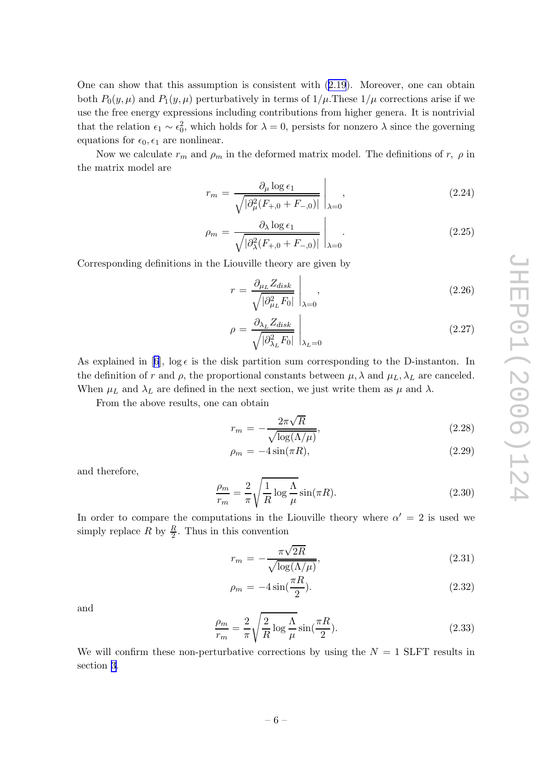<span id="page-6-0"></span>One can show that this assumption is consistent with [\(2.19](#page-5-0)). Moreover, one can obtain both  $P_0(y,\mu)$  and  $P_1(y,\mu)$  perturbatively in terms of  $1/\mu$ . These  $1/\mu$  corrections arise if we use the free energy expressions including contributions from higher genera. It is nontrivial that the relation  $\epsilon_1 \sim \epsilon_0^2$ , which holds for  $\lambda = 0$ , persists for nonzero  $\lambda$  since the governing equations for  $\epsilon_0$ ,  $\epsilon_1$  are nonlinear.

Now we calculate  $r_m$  and  $\rho_m$  in the deformed matrix model. The definitions of r,  $\rho$  in the matrix model are

$$
r_m = \frac{\partial_\mu \log \epsilon_1}{\sqrt{|\partial_\mu^2 (F_{+,0} + F_{-,0})|}} \bigg|_{\lambda = 0},
$$
\n(2.24)

$$
\rho_m = \frac{\partial_\lambda \log \epsilon_1}{\sqrt{|\partial_\lambda^2 (F_{+,0} + F_{-,0})|}} \bigg|_{\lambda=0}.
$$
\n(2.25)

Corresponding definitions in the Liouville theory are given by

$$
r = \frac{\partial_{\mu_L} Z_{disk}}{\sqrt{|\partial_{\mu_L}^2 F_0|}} \bigg|_{\lambda = 0},
$$
\n(2.26)

$$
\rho = \frac{\partial_{\lambda_L} Z_{disk}}{\sqrt{|\partial_{\lambda_L}^2 F_0|}} \bigg|_{\lambda_L = 0} \tag{2.27}
$$

As explained in [\[6](#page-16-0)],  $\log \epsilon$  is the disk partition sum corresponding to the D-instanton. In the definition of r and  $\rho$ , the proportional constants between  $\mu$ ,  $\lambda$  and  $\mu_L$ ,  $\lambda_L$  are canceled. When  $\mu_L$  and  $\lambda_L$  are defined in the next section, we just write them as  $\mu$  and  $\lambda$ .

From the above results, one can obtain

$$
r_m = -\frac{2\pi\sqrt{R}}{\sqrt{\log(\Lambda/\mu)}},\tag{2.28}
$$

$$
\rho_m = -4\sin(\pi R),\tag{2.29}
$$

and therefore,

$$
\frac{\rho_m}{r_m} = \frac{2}{\pi} \sqrt{\frac{1}{R} \log \frac{\Lambda}{\mu}} \sin(\pi R). \tag{2.30}
$$

In order to compare the computations in the Liouville theory where  $\alpha' = 2$  is used we simply replace R by  $\frac{R}{2}$  $\frac{R}{2}$ . Thus in this convention

$$
r_m = -\frac{\pi\sqrt{2R}}{\sqrt{\log(\Lambda/\mu)}},\tag{2.31}
$$

$$
\rho_m = -4\sin(\frac{\pi R}{2}).\tag{2.32}
$$

and

$$
\frac{\rho_m}{r_m} = \frac{2}{\pi} \sqrt{\frac{2}{R} \log \frac{\Lambda}{\mu}} \sin(\frac{\pi R}{2}).
$$
\n(2.33)

We will confirm these non-perturbative corrections by using the  $N = 1$  SLFT results in section [3](#page-7-0).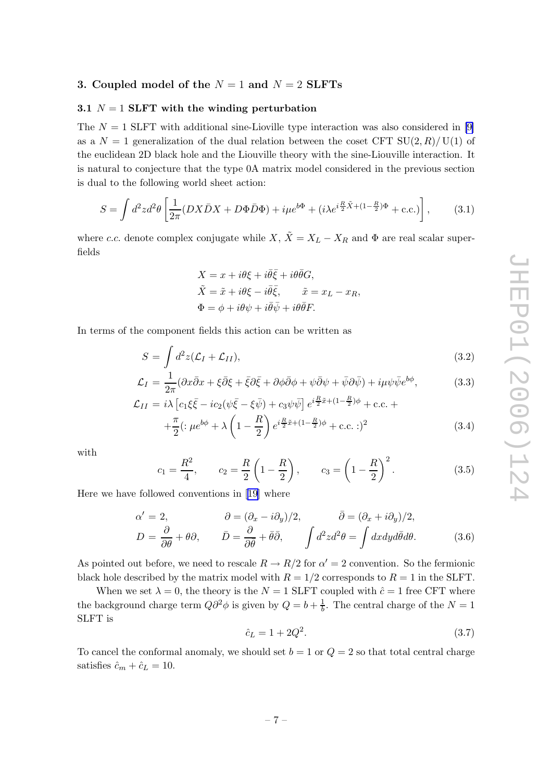# <span id="page-7-0"></span>3. Coupled model of the  $N = 1$  and  $N = 2$  SLFTs

#### 3.1  $N = 1$  SLFT with the winding perturbation

The  $N = 1$  SLFT with additional sine-Lioville type interaction was also considered in [\[9\]](#page-16-0) as a  $N = 1$  generalization of the dual relation between the coset CFT  $SU(2, R)/U(1)$  of the euclidean 2D black hole and the Liouville theory with the sine-Liouville interaction. It is natural to conjecture that the type 0A matrix model considered in the previous section is dual to the following world sheet action:

$$
S = \int d^2z d^2\theta \left[ \frac{1}{2\pi} (DX\bar{D}X + D\Phi\bar{D}\Phi) + i\mu e^{b\Phi} + (i\lambda e^{i\frac{R}{2}\tilde{X} + (1 - \frac{R}{2})\Phi} + \text{c.c.}) \right],\tag{3.1}
$$

where c.c. denote complex conjugate while  $X$ ,  $\tilde{X} = X_L - X_R$  and  $\Phi$  are real scalar superfields

$$
X = x + i\theta\xi + i\overline{\theta}\overline{\xi} + i\theta\overline{\theta}G,
$$
  
\n
$$
\tilde{X} = \tilde{x} + i\theta\xi - i\overline{\theta}\overline{\xi}, \qquad \tilde{x} = x_L - x_R,
$$
  
\n
$$
\Phi = \phi + i\theta\psi + i\overline{\theta}\overline{\psi} + i\theta\overline{\theta}F.
$$

In terms of the component fields this action can be written as

$$
S = \int d^2z (\mathcal{L}_I + \mathcal{L}_{II}), \qquad (3.2)
$$

$$
\mathcal{L}_I = \frac{1}{2\pi} (\partial x \bar{\partial} x + \xi \bar{\partial} \xi + \bar{\xi} \partial \bar{\xi} + \partial \phi \bar{\partial} \phi + \psi \bar{\partial} \psi + \bar{\psi} \partial \bar{\psi}) + i\mu \psi \bar{\psi} e^{b\phi}, \tag{3.3}
$$

$$
\mathcal{L}_{II} = i\lambda \left[ c_1 \xi \bar{\xi} - i c_2 (\psi \bar{\xi} - \xi \bar{\psi}) + c_3 \psi \bar{\psi} \right] e^{i\frac{R}{2}\tilde{x} + (1 - \frac{R}{2})\phi} + \text{c.c.} + \pi \left( \psi + c_1 \psi + c_2 \psi \right) e^{i\frac{R}{2}\tilde{x} + (1 - \frac{R}{2})\phi} + \text{c.c.}
$$

$$
+\frac{\pi}{2}(\mathbf{p}e^{b\phi} + \lambda\left(1 - \frac{R}{2}\right)e^{i\frac{R}{2}\tilde{x} + (1 - \frac{R}{2})\phi} + \text{c.c.} \cdot)^2
$$
 (3.4)

with

$$
c_1 = \frac{R^2}{4}
$$
,  $c_2 = \frac{R}{2} \left( 1 - \frac{R}{2} \right)$ ,  $c_3 = \left( 1 - \frac{R}{2} \right)^2$ . (3.5)

Here we have followed conventions in [\[19\]](#page-16-0) where

$$
\alpha' = 2, \qquad \partial = (\partial_x - i\partial_y)/2, \qquad \bar{\partial} = (\partial_x + i\partial_y)/2, \nD = \frac{\partial}{\partial \theta} + \theta \partial, \qquad \bar{D} = \frac{\partial}{\partial \bar{\theta}} + \bar{\theta} \bar{\partial}, \qquad \int d^2 z d^2 \theta = \int dx dy d\bar{\theta} d\theta.
$$
\n(3.6)

As pointed out before, we need to rescale  $R \to R/2$  for  $\alpha' = 2$  convention. So the fermionic black hole described by the matrix model with  $R = 1/2$  corresponds to  $R = 1$  in the SLFT.

When we set  $\lambda = 0$ , the theory is the  $N = 1$  SLFT coupled with  $\hat{c} = 1$  free CFT where the background charge term  $Q\partial^2\phi$  is given by  $Q = b + \frac{1}{b}$  $\frac{1}{b}$ . The central charge of the  $N=1$ SLFT is

$$
\hat{c}_L = 1 + 2Q^2. \tag{3.7}
$$

To cancel the conformal anomaly, we should set  $b = 1$  or  $Q = 2$  so that total central charge satisfies  $\hat{c}_m + \hat{c}_L = 10$ .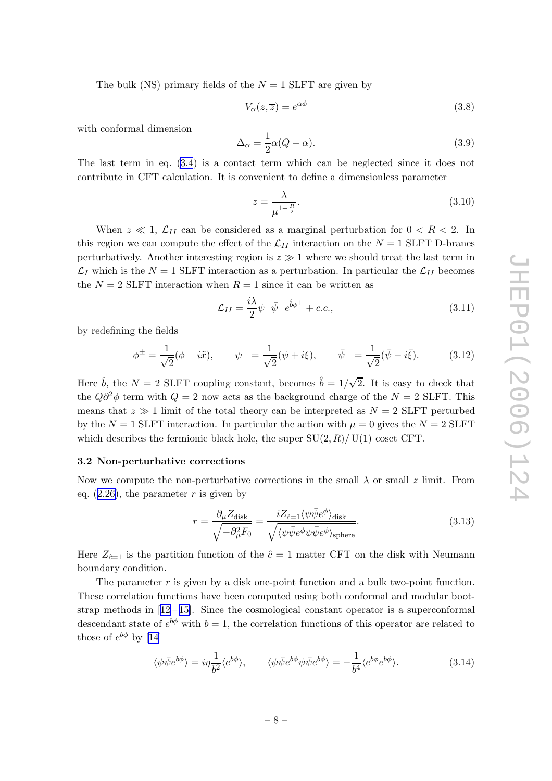<span id="page-8-0"></span>The bulk (NS) primary fields of the  $N = 1$  SLFT are given by

$$
V_{\alpha}(z,\overline{z}) = e^{\alpha\phi} \tag{3.8}
$$

with conformal dimension

$$
\Delta_{\alpha} = \frac{1}{2}\alpha(Q - \alpha). \tag{3.9}
$$

The last term in eq. ([3.4](#page-7-0)) is a contact term which can be neglected since it does not contribute in CFT calculation. It is convenient to define a dimensionless parameter

$$
z = \frac{\lambda}{\mu^{1 - \frac{R}{2}}}.\tag{3.10}
$$

When  $z \ll 1$ ,  $\mathcal{L}_{II}$  can be considered as a marginal perturbation for  $0 < R < 2$ . In this region we can compute the effect of the  $\mathcal{L}_{II}$  interaction on the  $N = 1$  SLFT D-branes perturbatively. Another interesting region is  $z \gg 1$  where we should treat the last term in  $\mathcal{L}_I$  which is the  $N = 1$  SLFT interaction as a perturbation. In particular the  $\mathcal{L}_{II}$  becomes the  $N = 2$  SLFT interaction when  $R = 1$  since it can be written as

$$
\mathcal{L}_{II} = \frac{i\lambda}{2} \psi^- \bar{\psi}^- e^{\hat{b}\phi^+} + c.c.,\tag{3.11}
$$

by redefining the fields

$$
\phi^{\pm} = \frac{1}{\sqrt{2}} (\phi \pm i\tilde{x}), \qquad \psi^{-} = \frac{1}{\sqrt{2}} (\psi + i\xi), \qquad \bar{\psi}^{-} = \frac{1}{\sqrt{2}} (\bar{\psi} - i\bar{\xi}). \tag{3.12}
$$

Here  $\hat{b}$ , the  $N = 2$  SLFT coupling constant, becomes  $\hat{b} = 1/\sqrt{2}$ . It is easy to check that the  $Q\partial^2\phi$  term with  $Q=2$  now acts as the background charge of the  $N=2$  SLFT. This means that  $z \gg 1$  limit of the total theory can be interpreted as  $N = 2$  SLFT perturbed by the  $N = 1$  SLFT interaction. In particular the action with  $\mu = 0$  gives the  $N = 2$  SLFT which describes the fermionic black hole, the super  $SU(2, R)/U(1)$  coset CFT.

#### 3.2 Non-perturbative corrections

Now we compute the non-perturbative corrections in the small  $\lambda$  or small  $z$  limit. From eq.  $(2.26)$  $(2.26)$ , the parameter r is given by

$$
r = \frac{\partial_{\mu} Z_{\text{disk}}}{\sqrt{-\partial_{\mu}^{2} F_{0}}} = \frac{i Z_{\hat{c}=1} \langle \psi \bar{\psi} e^{\phi} \rangle_{\text{disk}}}{\sqrt{\langle \psi \bar{\psi} e^{\phi} \psi \bar{\psi} e^{\phi} \rangle_{\text{sphere}}}}.
$$
(3.13)

Here  $Z_{\hat{c}=1}$  is the partition function of the  $\hat{c}=1$  matter CFT on the disk with Neumann boundary condition.

The parameter  $r$  is given by a disk one-point function and a bulk two-point function. These correlation functions have been computed using both conformal and modular bootstrap methods in  $[12-15]$  $[12-15]$  $[12-15]$ . Since the cosmological constant operator is a superconformal descendant state of  $e^{b\phi}$  with  $b=1$ , the correlation functions of this operator are related to those of  $e^{b\phi}$  by [\[14](#page-16-0)]

$$
\langle \psi \bar{\psi} e^{b\phi} \rangle = i\eta \frac{1}{b^2} \langle e^{b\phi} \rangle, \qquad \langle \psi \bar{\psi} e^{b\phi} \psi \bar{\psi} e^{b\phi} \rangle = -\frac{1}{b^4} \langle e^{b\phi} e^{b\phi} \rangle. \tag{3.14}
$$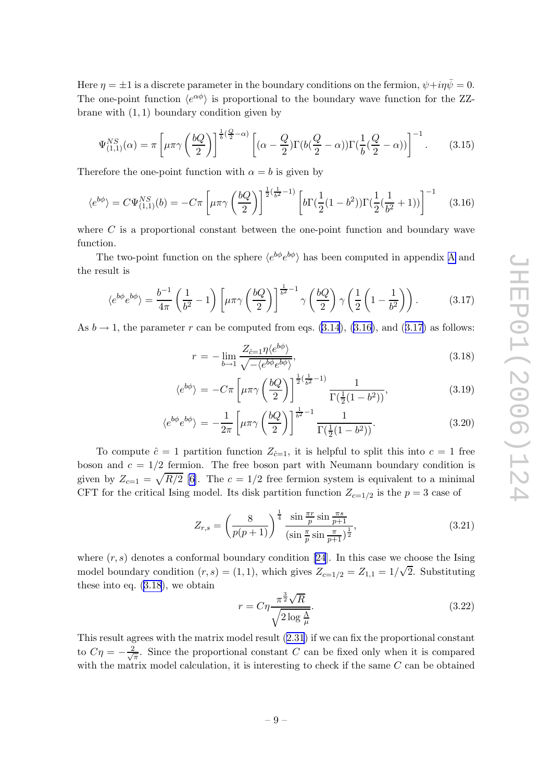<span id="page-9-0"></span>Here  $\eta = \pm 1$  is a discrete parameter in the boundary conditions on the fermion,  $\psi + i\eta\bar{\psi} = 0$ . The one-point function  $\langle e^{\alpha \phi} \rangle$  is proportional to the boundary wave function for the ZZbrane with  $(1, 1)$  boundary condition given by

$$
\Psi_{(1,1)}^{NS}(\alpha) = \pi \left[ \mu \pi \gamma \left( \frac{bQ}{2} \right) \right]^{\frac{1}{b} \left( \frac{Q}{2} - \alpha \right)} \left[ (\alpha - \frac{Q}{2}) \Gamma(b(\frac{Q}{2} - \alpha)) \Gamma(\frac{1}{b} (\frac{Q}{2} - \alpha)) \right]^{-1}.
$$
 (3.15)

Therefore the one-point function with  $\alpha = b$  is given by

$$
\langle e^{b\phi} \rangle = C\Psi_{(1,1)}^{NS}(b) = -C\pi \left[ \mu \pi \gamma \left( \frac{bQ}{2} \right) \right]^{\frac{1}{2}(\frac{1}{b^2} - 1)} \left[ b\Gamma(\frac{1}{2}(1 - b^2))\Gamma(\frac{1}{2}(\frac{1}{b^2} + 1)) \right]^{-1} \tag{3.16}
$$

where C is a proportional constant between the one-point function and boundary wave function.

The two-point function on the sphere  $\langle e^{b\phi}e^{b\phi} \rangle$  has been computed in appendix [A](#page-13-0) and the result is

$$
\langle e^{b\phi} e^{b\phi} \rangle = \frac{b^{-1}}{4\pi} \left( \frac{1}{b^2} - 1 \right) \left[ \mu \pi \gamma \left( \frac{bQ}{2} \right) \right]^{\frac{1}{b^2} - 1} \gamma \left( \frac{bQ}{2} \right) \gamma \left( \frac{1}{2} \left( 1 - \frac{1}{b^2} \right) \right). \tag{3.17}
$$

As  $b \to 1$ , the parameter r can be computed from eqs. [\(3.14](#page-8-0)), (3.16), and (3.17) as follows:

$$
r = -\lim_{b \to 1} \frac{Z_{\hat{c}=1} \eta \langle e^{b\phi} \rangle}{\sqrt{-\langle e^{b\phi} e^{b\phi} \rangle}},\tag{3.18}
$$

$$
\langle e^{b\phi} \rangle = -C\pi \left[ \mu \pi \gamma \left( \frac{bQ}{2} \right) \right]^{\frac{1}{2}(\frac{1}{b^2} - 1)} \frac{1}{\Gamma(\frac{1}{2}(1 - b^2))},\tag{3.19}
$$

$$
\langle e^{b\phi}e^{b\phi}\rangle = -\frac{1}{2\pi} \left[ \mu \pi \gamma \left(\frac{bQ}{2}\right) \right]^{\frac{1}{b^2} - 1} \frac{1}{\Gamma(\frac{1}{2}(1 - b^2))}.
$$
 (3.20)

To compute  $\hat{c} = 1$  partition function  $Z_{\hat{c}=1}$ , it is helpful to split this into  $c = 1$  free boson and  $c = 1/2$  fermion. The free boson part with Neumann boundary condition is given by  $Z_{c=1} = \sqrt{R/2}$  [\[6\]](#page-16-0). The  $c = 1/2$  free fermion system is equivalent to a minimal CFT for the critical Ising model. Its disk partition function  $Z_{c=1/2}$  is the  $p=3$  case of

$$
Z_{r,s} = \left(\frac{8}{p(p+1)}\right)^{\frac{1}{4}} \frac{\sin\frac{\pi r}{p}\sin\frac{\pi s}{p+1}}{\left(\sin\frac{\pi}{p}\sin\frac{\pi}{p+1}\right)^{\frac{1}{2}}},\tag{3.21}
$$

where  $(r, s)$  denotes a conformal boundary condition [\[24](#page-16-0)]. In this case we choose the Ising model boundary condition  $(r, s) = (1, 1)$ , which gives  $Z_{c=1/2} = Z_{1,1} = 1/\sqrt{2}$ . Substituting these into eq. (3.18), we obtain

$$
r = C\eta \frac{\pi^{\frac{3}{2}}\sqrt{R}}{\sqrt{2\log\frac{\Lambda}{\mu}}}.
$$
\n(3.22)

This result agrees with the matrix model result ([2.31](#page-6-0)) if we can fix the proportional constant to  $C\eta = -\frac{2}{\sqrt{\pi}}$ . Since the proportional constant C can be fixed only when it is compared with the matrix model calculation, it is interesting to check if the same C can be obtained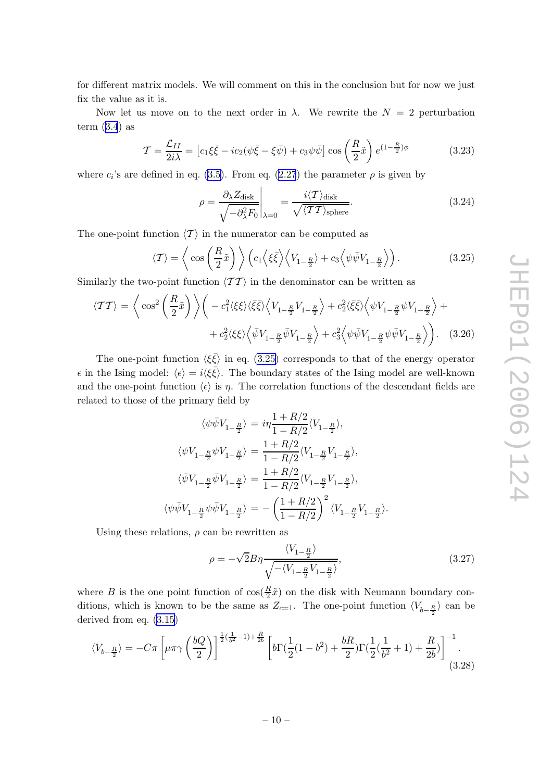<span id="page-10-0"></span>for different matrix models. We will comment on this in the conclusion but for now we just fix the value as it is.

Now let us move on to the next order in  $\lambda$ . We rewrite the  $N = 2$  perturbation term  $(3.4)$  $(3.4)$  $(3.4)$  as

$$
\mathcal{T} = \frac{\mathcal{L}_{II}}{2i\lambda} = \left[c_1\xi\bar{\xi} - ic_2(\psi\bar{\xi} - \xi\bar{\psi}) + c_3\psi\bar{\psi}\right]\cos\left(\frac{R}{2}\tilde{x}\right)e^{(1-\frac{R}{2})\phi}
$$
(3.23)

where  $c_i$ 's are defined in eq. ([3.5\)](#page-7-0). From eq. [\(2.27](#page-6-0)) the parameter  $\rho$  is given by

$$
\rho = \frac{\partial_{\lambda} Z_{\text{disk}}}{\sqrt{-\partial_{\lambda}^{2} F_{0}}} \bigg|_{\lambda=0} = \frac{i \langle T \rangle_{\text{disk}}}{\sqrt{\langle T T \rangle_{\text{sphere}}}}.
$$
\n(3.24)

The one-point function  $\langle T \rangle$  in the numerator can be computed as

$$
\langle T \rangle = \left\langle \cos \left( \frac{R}{2} \tilde{x} \right) \right\rangle \left( c_1 \left\langle \xi \bar{\xi} \right\rangle \left\langle V_{1 - \frac{R}{2}} \right\rangle + c_3 \left\langle \psi \bar{\psi} V_{1 - \frac{R}{2}} \right\rangle \right). \tag{3.25}
$$

Similarly the two-point function  $\langle \mathcal{T} \mathcal{T} \rangle$  in the denominator can be written as

$$
\langle \mathcal{T}\mathcal{T} \rangle = \left\langle \cos^2\left(\frac{R}{2}\tilde{x}\right) \right\rangle \left( -c_1^2 \langle \xi \xi \rangle \langle \bar{\xi} \bar{\xi} \rangle \left\langle V_{1-\frac{R}{2}} V_{1-\frac{R}{2}} \right\rangle + c_2^2 \langle \bar{\xi} \bar{\xi} \rangle \left\langle \psi V_{1-\frac{R}{2}} \psi V_{1-\frac{R}{2}} \right\rangle + c_2^2 \langle \xi \xi \rangle \left\langle \bar{\psi} V_{1-\frac{R}{2}} \bar{\psi} V_{1-\frac{R}{2}} \right\rangle + c_3^2 \left\langle \psi \bar{\psi} V_{1-\frac{R}{2}} \psi \bar{\psi} V_{1-\frac{R}{2}} \right\rangle \right). \tag{3.26}
$$

The one-point function  $\langle \xi \bar{\xi} \rangle$  in eq. (3.25) corresponds to that of the energy operator  $\epsilon$  in the Ising model:  $\langle \epsilon \rangle = i \langle \xi \bar{\xi} \rangle$ . The boundary states of the Ising model are well-known and the one-point function  $\langle \epsilon \rangle$  is  $\eta$ . The correlation functions of the descendant fields are related to those of the primary field by

$$
\langle \psi \bar{\psi} V_{1-\frac{R}{2}} \rangle = i \eta \frac{1 + R/2}{1 - R/2} \langle V_{1-\frac{R}{2}} \rangle,
$$
  

$$
\langle \psi V_{1-\frac{R}{2}} \psi V_{1-\frac{R}{2}} \rangle = \frac{1 + R/2}{1 - R/2} \langle V_{1-\frac{R}{2}} V_{1-\frac{R}{2}} \rangle,
$$
  

$$
\langle \bar{\psi} V_{1-\frac{R}{2}} \bar{\psi} V_{1-\frac{R}{2}} \rangle = \frac{1 + R/2}{1 - R/2} \langle V_{1-\frac{R}{2}} V_{1-\frac{R}{2}} \rangle,
$$
  

$$
\langle \psi \bar{\psi} V_{1-\frac{R}{2}} \psi \bar{\psi} V_{1-\frac{R}{2}} \rangle = -\left(\frac{1 + R/2}{1 - R/2}\right)^2 \langle V_{1-\frac{R}{2}} V_{1-\frac{R}{2}} \rangle.
$$

Using these relations,  $\rho$  can be rewritten as

$$
\rho = -\sqrt{2}B\eta \frac{\langle V_{1-\frac{R}{2}}\rangle}{\sqrt{-\langle V_{1-\frac{R}{2}}V_{1-\frac{R}{2}}\rangle}},\tag{3.27}
$$

where B is the one point function of  $\cos(\frac{R}{2})$  $\frac{\kappa}{2}\tilde{x}$  on the disk with Neumann boundary conditions, which is known to be the same as  $Z_{c=1}$ . The one-point function  $\langle V_{b-\frac{R}{2}} \rangle$  can be derived from eq. ([3.15](#page-9-0))

$$
\langle V_{b-\frac{R}{2}} \rangle = -C\pi \left[ \mu \pi \gamma \left( \frac{bQ}{2} \right) \right]^{\frac{1}{2}(\frac{1}{b^2} - 1) + \frac{R}{2b}} \left[ b\Gamma(\frac{1}{2}(1 - b^2) + \frac{bR}{2})\Gamma(\frac{1}{2}(\frac{1}{b^2} + 1) + \frac{R}{2b}) \right]^{-1}.
$$
\n(3.28)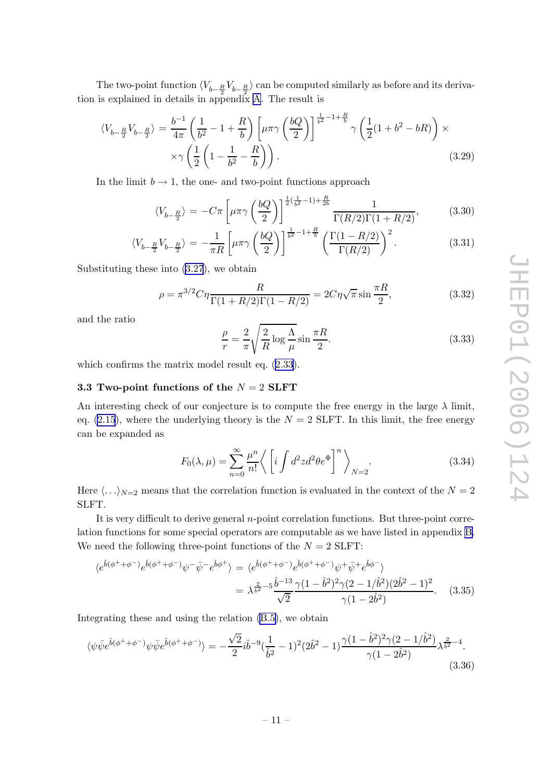<span id="page-11-0"></span>The two-point function  $\langle V_{b-\frac{R}{2}}V_{b-\frac{R}{2}}\rangle$  can be computed similarly as before and its derivation is explained in details in appendix [A](#page-13-0). The result is

$$
\langle V_{b-\frac{R}{2}} V_{b-\frac{R}{2}} \rangle = \frac{b^{-1}}{4\pi} \left( \frac{1}{b^2} - 1 + \frac{R}{b} \right) \left[ \mu \pi \gamma \left( \frac{bQ}{2} \right) \right]^{\frac{1}{b^2} - 1 + \frac{R}{b}} \gamma \left( \frac{1}{2} (1 + b^2 - bR) \right) \times \\ \times \gamma \left( \frac{1}{2} \left( 1 - \frac{1}{b^2} - \frac{R}{b} \right) \right). \tag{3.29}
$$

In the limit  $b \to 1$ , the one- and two-point functions approach

$$
\langle V_{b-\frac{R}{2}} \rangle = -C\pi \left[ \mu \pi \gamma \left( \frac{bQ}{2} \right) \right]^{\frac{1}{2}(\frac{1}{b^2} - 1) + \frac{R}{2b}} \frac{1}{\Gamma(R/2)\Gamma(1 + R/2)},\tag{3.30}
$$

$$
\langle V_{b-\frac{R}{2}}V_{b-\frac{R}{2}} \rangle = -\frac{1}{\pi R} \left[ \mu \pi \gamma \left( \frac{bQ}{2} \right) \right]^{\frac{1}{b^2} - 1 + \frac{R}{b}} \left( \frac{\Gamma(1 - R/2)}{\Gamma(R/2)} \right)^2.
$$
 (3.31)

Substituting these into [\(3.27](#page-10-0)), we obtain

$$
\rho = \pi^{3/2} C \eta \frac{R}{\Gamma(1 + R/2)\Gamma(1 - R/2)} = 2C \eta \sqrt{\pi} \sin \frac{\pi R}{2},
$$
\n(3.32)

and the ratio

$$
\frac{\rho}{r} = \frac{2}{\pi} \sqrt{\frac{2}{R} \log \frac{\Lambda}{\mu}} \sin \frac{\pi R}{2}.
$$
\n(3.33)

which confirms the matrix model result eq.  $(2.33)$  $(2.33)$  $(2.33)$ .

#### 3.3 Two-point functions of the  $N = 2$  SLFT

An interesting check of our conjecture is to compute the free energy in the large  $\lambda$  limit, eq.  $(2.15)$  $(2.15)$ , where the underlying theory is the  $N = 2$  SLFT. In this limit, the free energy can be expanded as

$$
F_0(\lambda,\mu) = \sum_{n=0}^{\infty} \frac{\mu^n}{n!} \left\langle \left[ i \int d^2 z d^2 \theta e^{\Phi} \right]^n \right\rangle_{N=2}.
$$
 (3.34)

Here  $\langle \ldots \rangle_{N=2}$  means that the correlation function is evaluated in the context of the  $N=2$ SLFT.

It is very difficult to derive general *n*-point correlation functions. But three-point correlation functions for some special operators are computable as we have listed in appendix [B.](#page-14-0) We need the following three-point functions of the  $N = 2$  SLFT:

$$
\langle e^{\hat{b}(\phi^+ + \phi^-)} e^{\hat{b}(\phi^+ + \phi^-)} \psi^- \bar{\psi}^- e^{\hat{b}\phi^+} \rangle = \langle e^{\hat{b}(\phi^+ + \phi^-)} e^{\hat{b}(\phi^+ + \phi^-)} \psi^+ \bar{\psi}^+ e^{\hat{b}\phi^-} \rangle
$$
  
= 
$$
\lambda^{\frac{2}{b^2} - 5} \frac{\hat{b}^{-13}}{\sqrt{2}} \frac{\gamma (1 - \hat{b}^2)^2 \gamma (2 - 1/\hat{b}^2)(2\hat{b}^2 - 1)^2}{\gamma (1 - 2\hat{b}^2)}.
$$
 (3.35)

Integrating these and using the relation [\(B.5\)](#page-15-0), we obtain

$$
\langle \psi \bar{\psi} e^{\hat{b}(\phi^+ + \phi^-)} \psi \bar{\psi} e^{\hat{b}(\phi^+ + \phi^-)} \rangle = -\frac{\sqrt{2}}{2} i \hat{b}^{-9} (\frac{1}{\hat{b}^2} - 1)^2 (2\hat{b}^2 - 1) \frac{\gamma (1 - \hat{b}^2)^2 \gamma (2 - 1/\hat{b}^2)}{\gamma (1 - 2\hat{b}^2)} \lambda^{\frac{2}{\hat{b}^2} - 4}.
$$
\n(3.36)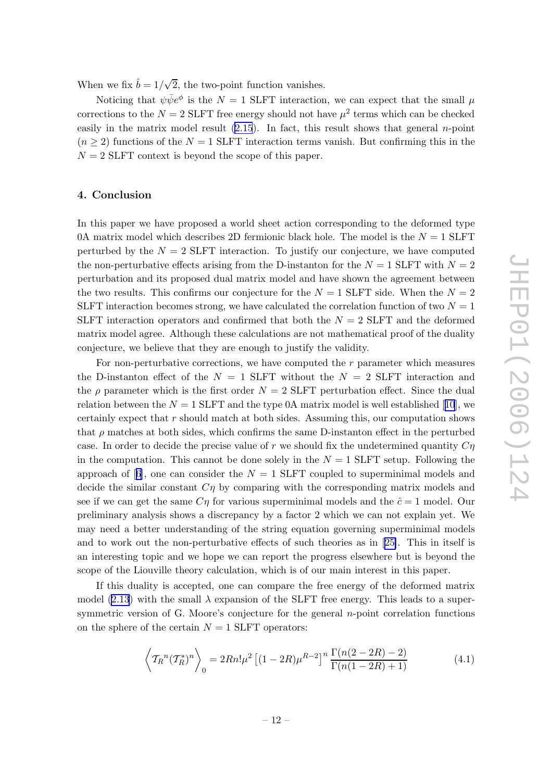<span id="page-12-0"></span>When we fix  $\hat{b} = 1/\sqrt{2}$ , the two-point function vanishes.

Noticing that  $\psi \bar{\psi} e^{\phi}$  is the  $N = 1$  SLFT interaction, we can expect that the small  $\mu$ corrections to the  $N = 2$  SLFT free energy should not have  $\mu^2$  terms which can be checked easily in the matrix model result  $(2.15)$  $(2.15)$ . In fact, this result shows that general *n*-point  $(n \geq 2)$  functions of the  $N = 1$  SLFT interaction terms vanish. But confirming this in the  $N = 2$  SLFT context is beyond the scope of this paper.

#### 4. Conclusion

In this paper we have proposed a world sheet action corresponding to the deformed type 0A matrix model which describes 2D fermionic black hole. The model is the  $N = 1$  SLFT perturbed by the  $N = 2$  SLFT interaction. To justify our conjecture, we have computed the non-perturbative effects arising from the D-instanton for the  $N = 1$  SLFT with  $N = 2$ perturbation and its proposed dual matrix model and have shown the agreement between the two results. This confirms our conjecture for the  $N = 1$  SLFT side. When the  $N = 2$ SLFT interaction becomes strong, we have calculated the correlation function of two  $N = 1$ SLFT interaction operators and confirmed that both the  $N = 2$  SLFT and the deformed matrix model agree. Although these calculations are not mathematical proof of the duality conjecture, we believe that they are enough to justify the validity.

For non-perturbative corrections, we have computed the r parameter which measures the D-instanton effect of the  $N = 1$  SLFT without the  $N = 2$  SLFT interaction and the  $\rho$  parameter which is the first order  $N = 2$  SLFT perturbation effect. Since the dual relation between the  $N = 1$  SLFT and the type 0A matrix model is well established [[10](#page-16-0)], we certainly expect that r should match at both sides. Assuming this, our computation shows that  $\rho$  matches at both sides, which confirms the same D-instanton effect in the perturbed case. In order to decide the precise value of  $r$  we should fix the undetermined quantity  $C\eta$ in the computation. This cannot be done solely in the  $N = 1$  SLFT setup. Following the approach of [[6](#page-16-0)], one can consider the  $N = 1$  SLFT coupled to superminimal models and decide the similar constant  $C\eta$  by comparing with the corresponding matrix models and see if we can get the same  $C\eta$  for various superminimal models and the  $\hat{c} = 1$  model. Our preliminary analysis shows a discrepancy by a factor 2 which we can not explain yet. We may need a better understanding of the string equation governing superminimal models and to work out the non-perturbative effects of such theories as in [[25\]](#page-17-0). This in itself is an interesting topic and we hope we can report the progress elsewhere but is beyond the scope of the Liouville theory calculation, which is of our main interest in this paper.

If this duality is accepted, one can compare the free energy of the deformed matrix model [\(2.13](#page-4-0)) with the small  $\lambda$  expansion of the SLFT free energy. This leads to a supersymmetric version of G. Moore's conjecture for the general *n*-point correlation functions on the sphere of the certain  $N = 1$  SLFT operators:

$$
\left\langle T_R{}^n (T_R^*)^n \right\rangle_0 = 2Rn! \mu^2 \left[ (1 - 2R) \mu^{R-2} \right]^n \frac{\Gamma(n(2 - 2R) - 2)}{\Gamma(n(1 - 2R) + 1)} \tag{4.1}
$$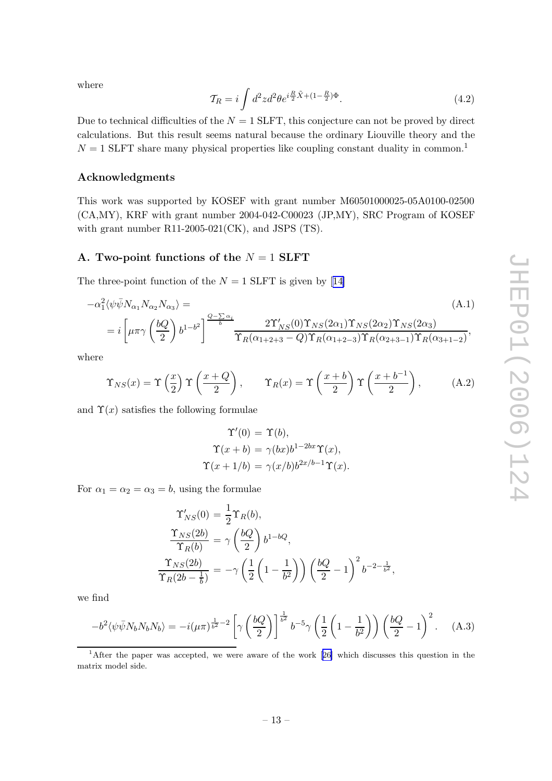<span id="page-13-0"></span>where

$$
\mathcal{T}_R = i \int d^2 z d^2 \theta e^{i \frac{R}{2} \tilde{X} + (1 - \frac{R}{2}) \Phi}.
$$
\n(4.2)

Due to technical difficulties of the  $N = 1$  SLFT, this conjecture can not be proved by direct calculations. But this result seems natural because the ordinary Liouville theory and the  $N = 1$  SLFT share many physical properties like coupling constant duality in common.<sup>1</sup>

## Acknowledgments

This work was supported by KOSEF with grant number M60501000025-05A0100-02500 (CA,MY), KRF with grant number 2004-042-C00023 (JP,MY), SRC Program of KOSEF with grant number R11-2005-021(CK), and JSPS (TS).

## A. Two-point functions of the  $N = 1$  SLFT

The three-point function of the  $N = 1$  SLFT is given by [[14\]](#page-16-0)

$$
-\alpha_1^2 \langle \psi \bar{\psi} N_{\alpha_1} N_{\alpha_2} N_{\alpha_3} \rangle =
$$
\n
$$
= i \left[ \mu \pi \gamma \left( \frac{bQ}{2} \right) b^{1-b^2} \right]^{\frac{Q-\sum \alpha_i}{b}} \frac{2 \Upsilon'_{NS}(0) \Upsilon_{NS}(2\alpha_1) \Upsilon_{NS}(2\alpha_2) \Upsilon_{NS}(2\alpha_3)}{\Upsilon_R(\alpha_{1+2+3} - Q) \Upsilon_R(\alpha_{1+2-3}) \Upsilon_R(\alpha_{2+3-1}) \Upsilon_R(\alpha_{3+1-2})},
$$
\n(A.1)

where

$$
\Upsilon_{NS}(x) = \Upsilon\left(\frac{x}{2}\right)\Upsilon\left(\frac{x+Q}{2}\right), \qquad \Upsilon_R(x) = \Upsilon\left(\frac{x+b}{2}\right)\Upsilon\left(\frac{x+b^{-1}}{2}\right), \tag{A.2}
$$

and  $\Upsilon(x)$  satisfies the following formulae

$$
\Upsilon'(0) = \Upsilon(b),
$$
  
\n
$$
\Upsilon(x+b) = \gamma(bx)b^{1-2bx}\Upsilon(x),
$$
  
\n
$$
\Upsilon(x+1/b) = \gamma(x/b)b^{2x/b-1}\Upsilon(x).
$$

For  $\alpha_1 = \alpha_2 = \alpha_3 = b$ , using the formulae

$$
\begin{aligned}\n\Upsilon'_{NS}(0) &= \frac{1}{2} \Upsilon_R(b), \\
\frac{\Upsilon_{NS}(2b)}{\Upsilon_R(b)} &= \gamma \left(\frac{bQ}{2}\right) b^{1-bQ}, \\
\frac{\Upsilon_{NS}(2b)}{\Upsilon_R(2b - \frac{1}{b})} &= -\gamma \left(\frac{1}{2} \left(1 - \frac{1}{b^2}\right)\right) \left(\frac{bQ}{2} - 1\right)^2 b^{-2 - \frac{1}{b^2}},\n\end{aligned}
$$

we find

$$
-b^2 \langle \psi \bar{\psi} N_b N_b N_b \rangle = -i(\mu \pi)^{\frac{1}{b^2}-2} \left[ \gamma \left( \frac{bQ}{2} \right) \right]^{\frac{1}{b^2}} b^{-5} \gamma \left( \frac{1}{2} \left( 1 - \frac{1}{b^2} \right) \right) \left( \frac{bQ}{2} - 1 \right)^2.
$$
 (A.3)

<sup>1</sup>After the paper was accepted, we were aware of the work [[26\]](#page-17-0) which discusses this question in the matrix model side.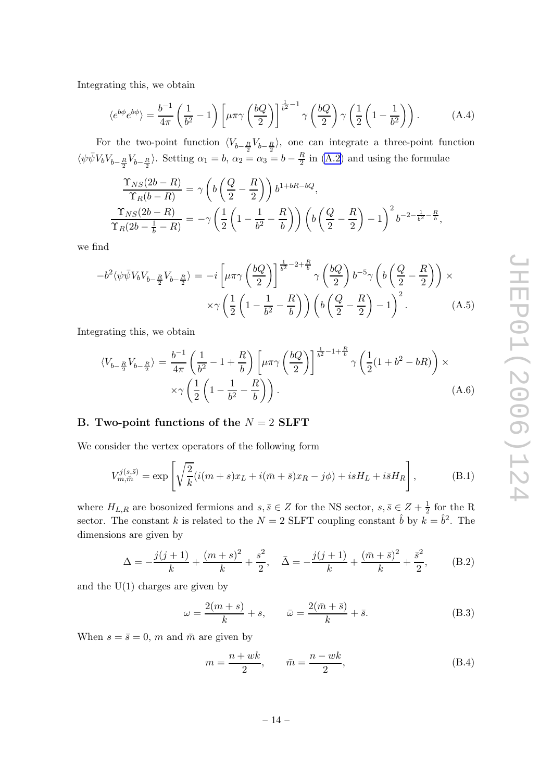<span id="page-14-0"></span>Integrating this, we obtain

$$
\langle e^{b\phi} e^{b\phi} \rangle = \frac{b^{-1}}{4\pi} \left( \frac{1}{b^2} - 1 \right) \left[ \mu \pi \gamma \left( \frac{bQ}{2} \right) \right]^{\frac{1}{b^2} - 1} \gamma \left( \frac{bQ}{2} \right) \gamma \left( \frac{1}{2} \left( 1 - \frac{1}{b^2} \right) \right). \tag{A.4}
$$

For the two-point function  $\langle V_{b-\frac{R}{2}}V_{b-\frac{R}{2}}\rangle$ , one can integrate a three-point function  $\langle \psi \bar{\psi} V_b V_{b-\frac{R}{2}} V_{b-\frac{R}{2}} \rangle$ . Setting  $\alpha_1 = b$ ,  $\alpha_2 = \alpha_3 = b - \frac{R}{2}$  $\frac{R}{2}$  in [\(A.2\)](#page-13-0) and using the formulae

$$
\frac{\Upsilon_{NS}(2b-R)}{\Upsilon_R(b-R)} = \gamma \left( b \left( \frac{Q}{2} - \frac{R}{2} \right) \right) b^{1+bR-bQ},
$$
\n
$$
\frac{\Upsilon_{NS}(2b-R)}{\Upsilon_R(2b - \frac{1}{b} - R)} = -\gamma \left( \frac{1}{2} \left( 1 - \frac{1}{b^2} - \frac{R}{b} \right) \right) \left( b \left( \frac{Q}{2} - \frac{R}{2} \right) - 1 \right)^2 b^{-2 - \frac{1}{b^2} - \frac{R}{b}},
$$

we find

$$
-b^2 \langle \psi \bar{\psi} V_b V_{b-\frac{R}{2}} V_{b-\frac{R}{2}} \rangle = -i \left[ \mu \pi \gamma \left( \frac{bQ}{2} \right) \right]^{\frac{1}{b^2} - 2 + \frac{R}{b}} \gamma \left( \frac{bQ}{2} \right) b^{-5} \gamma \left( b \left( \frac{Q}{2} - \frac{R}{2} \right) \right) \times \times \gamma \left( \frac{1}{2} \left( 1 - \frac{1}{b^2} - \frac{R}{b} \right) \right) \left( b \left( \frac{Q}{2} - \frac{R}{2} \right) - 1 \right)^2.
$$
 (A.5)

Integrating this, we obtain

$$
\langle V_{b-\frac{R}{2}}V_{b-\frac{R}{2}} \rangle = \frac{b^{-1}}{4\pi} \left(\frac{1}{b^2} - 1 + \frac{R}{b}\right) \left[\mu\pi\gamma \left(\frac{bQ}{2}\right)\right]^{\frac{1}{b^2} - 1 + \frac{R}{b}} \gamma \left(\frac{1}{2}(1 + b^2 - bR)\right) \times \times \gamma \left(\frac{1}{2}\left(1 - \frac{1}{b^2} - \frac{R}{b}\right)\right).
$$
\n(A.6)

## B. Two-point functions of the  $N = 2$  SLFT

We consider the vertex operators of the following form

$$
V_{m,\tilde{m}}^{j(s,\tilde{s})} = \exp\left[\sqrt{\frac{2}{k}}(i(m+s)x_L + i(\bar{m}+\bar{s})x_R - j\phi) + isH_L + i\bar{s}H_R\right],
$$
(B.1)

where  $H_{L,R}$  are bosonized fermions and  $s, \overline{s} \in Z$  for the NS sector,  $s, \overline{s} \in Z + \frac{1}{2}$  for the R sector. The constant k is related to the  $N = 2$  SLFT coupling constant  $\hat{b}$  by  $k = \hat{b}^2$ . The dimensions are given by

$$
\Delta = -\frac{j(j+1)}{k} + \frac{(m+s)^2}{k} + \frac{s^2}{2}, \quad \bar{\Delta} = -\frac{j(j+1)}{k} + \frac{(\bar{m} + \bar{s})^2}{k} + \frac{\bar{s}^2}{2},\tag{B.2}
$$

and the  $U(1)$  charges are given by

$$
\omega = \frac{2(m+s)}{k} + s, \qquad \bar{\omega} = \frac{2(\bar{m} + \bar{s})}{k} + \bar{s}.
$$
 (B.3)

When  $s = \bar{s} = 0$ , m and  $\bar{m}$  are given by

$$
m = \frac{n + wk}{2}, \qquad \bar{m} = \frac{n - wk}{2}, \tag{B.4}
$$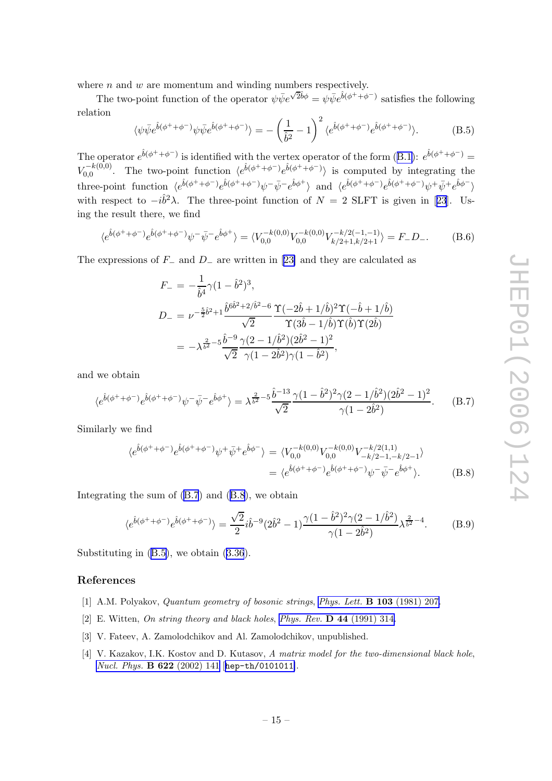<span id="page-15-0"></span>where  $n$  and  $w$  are momentum and winding numbers respectively.

The two-point function of the operator  $\psi \bar{\psi} e^{\sqrt{2}\hat{b}\phi} = \psi \bar{\psi} e^{\hat{b}(\phi^+ + \phi^-)}$  satisfies the following relation

$$
\langle \psi \bar{\psi} e^{\hat{b}(\phi^+ + \phi^-)} \psi \bar{\psi} e^{\hat{b}(\phi^+ + \phi^-)} \rangle = -\left(\frac{1}{\hat{b}^2} - 1\right)^2 \langle e^{\hat{b}(\phi^+ + \phi^-)} e^{\hat{b}(\phi^+ + \phi^-)} \rangle.
$$
 (B.5)

The operator  $e^{\hat{b}(\phi^+ + \phi^-)}$  is identified with the vertex operator of the form  $(B.1)$  $(B.1)$ :  $e^{\hat{b}(\phi^+ + \phi^-)}$  $V_{0.0}^{-k(0,0)}$  $\langle e^{\hat{b}(\phi^++\phi^-)}e^{\hat{b}(\phi^++\phi^-)}\rangle$  is computed by integrating the three-point function  $\langle e^{\hat{b}(\phi^+ + \phi^-)} e^{\hat{b}(\phi^+ + \phi^-)} \psi^- \bar{\psi}^- e^{\hat{b}\phi^+} \rangle$  and  $\langle e^{\hat{b}(\phi^+ + \phi^-)} e^{\hat{b}(\phi^+ + \phi^-)} \psi^+ \bar{\psi}^+ e^{\hat{b}\phi^-} \rangle$ with respect to  $-i\hat{b}^2\lambda$ . The three-point function of  $N = 2$  SLFT is given in [[23](#page-16-0)]. Using the result there, we find

$$
\langle e^{\hat{b}(\phi^+ + \phi^-)} e^{\hat{b}(\phi^+ + \phi^-)} \psi^- \bar{\psi}^- e^{\hat{b}\phi^+} \rangle = \langle V_{0,0}^{-k(0,0)} V_{0,0}^{-k(0,0)} V_{k/2+1,k/2+1}^{-k/2(-1,-1)} \rangle = F_- D_-.
$$
 (B.6)

The expressions of  $F_-\$  and  $D_-\$  are written in [[23\]](#page-16-0) and they are calculated as

$$
F_{-} = -\frac{1}{\hat{b}^{4}}\gamma(1-\hat{b}^{2})^{3},
$$
  
\n
$$
D_{-} = \nu^{-\frac{5}{2}\hat{b}^{2}+1}\frac{\hat{b}^{6\hat{b}^{2}+2/\hat{b}^{2}-6}}{\sqrt{2}}\frac{\Upsilon(-2\hat{b}+1/\hat{b})^{2}\Upsilon(-\hat{b}+1/\hat{b})}{\Upsilon(3\hat{b}-1/\hat{b})\Upsilon(\hat{b})\Upsilon(2\hat{b})}
$$
  
\n
$$
= -\lambda^{\frac{2}{\hat{b}^{2}}-5}\frac{\hat{b}^{-9}}{\sqrt{2}}\frac{\gamma(2-1/\hat{b}^{2})(2\hat{b}^{2}-1)^{2}}{\gamma(1-2\hat{b}^{2})\gamma(1-\hat{b}^{2})},
$$

and we obtain

$$
\langle e^{\hat{b}(\phi^+ + \phi^-)} e^{\hat{b}(\phi^+ + \phi^-)} \psi^- \bar{\psi}^- e^{\hat{b}\phi^+} \rangle = \lambda^{\frac{2}{b^2} - 5} \frac{\hat{b}^{-13}}{\sqrt{2}} \frac{\gamma (1 - \hat{b}^2)^2 \gamma (2 - 1/\hat{b}^2)(2\hat{b}^2 - 1)^2}{\gamma (1 - 2\hat{b}^2)}.
$$
 (B.7)

Similarly we find

$$
\langle e^{\hat{b}(\phi^+ + \phi^-)} e^{\hat{b}(\phi^+ + \phi^-)} \psi^+ \bar{\psi}^+ e^{\hat{b}\phi^-} \rangle = \langle V_{0,0}^{-k(0,0)} V_{0,0}^{-k(0,0)} V_{-k/2-1,-k/2-1}^{-k/2} \rangle \n= \langle e^{\hat{b}(\phi^+ + \phi^-)} e^{\hat{b}(\phi^+ + \phi^-)} \psi^- \bar{\psi}^- e^{\hat{b}\phi^+} \rangle.
$$
\n(B.8)

Integrating the sum of (B.7) and (B.8), we obtain

$$
\langle e^{\hat{b}(\phi^+ + \phi^-)} e^{\hat{b}(\phi^+ + \phi^-)} \rangle = \frac{\sqrt{2}}{2} i \hat{b}^{-9} (2\hat{b}^2 - 1) \frac{\gamma (1 - \hat{b}^2)^2 \gamma (2 - 1/\hat{b}^2)}{\gamma (1 - 2\hat{b}^2)} \lambda^{\frac{2}{\hat{b}^2} - 4}.
$$
 (B.9)

Substituting in (B.5), we obtain [\(3.36](#page-11-0)).

#### References

- [1] A.M. Polyakov, *Quantum geometry of bosonic strings, [Phys. Lett.](http://www-spires.slac.stanford.edu/spires/find/hep/www?j=PHLTA%2CB103%2C207)* **B 103** (1981) 207.
- [2] E. Witten, On string theory and black holes, Phys. Rev.  $\bf{D}$  44 [\(1991\) 314.](http://www-spires.slac.stanford.edu/spires/find/hep/www?j=PHRVA%2CD44%2C314)
- [3] V. Fateev, A. Zamolodchikov and Al. Zamolodchikov, unpublished.
- [4] V. Kazakov, I.K. Kostov and D. Kutasov, A matrix model for the two-dimensional black hole, [Nucl. Phys.](http://www-spires.slac.stanford.edu/spires/find/hep/www?j=NUPHA%2CB622%2C141) B 622 (2002) 141 [[hep-th/0101011](http://xxx.lanl.gov/abs/hep-th/0101011)].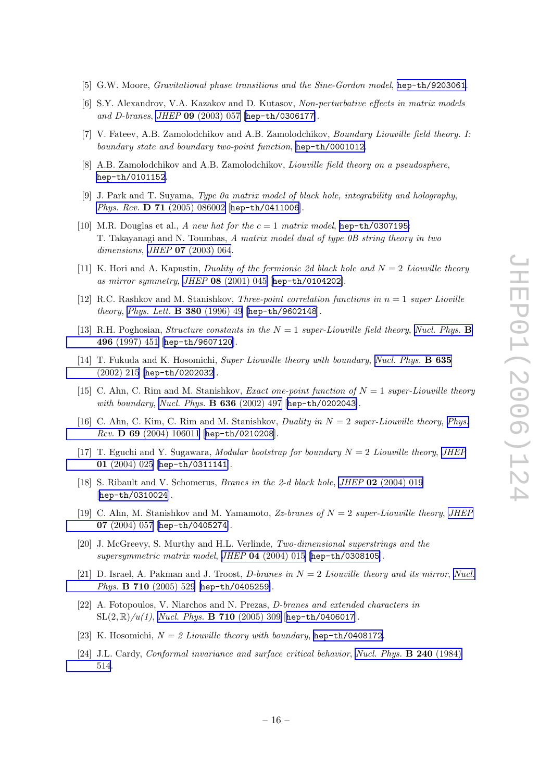- <span id="page-16-0"></span>[5] G.W. Moore, *Gravitational phase transitions and the Sine-Gordon model*, [hep-th/9203061](http://xxx.lanl.gov/abs/hep-th/9203061).
- [6] S.Y. Alexandrov, V.A. Kazakov and D. Kutasov, Non-perturbative effects in matrix models and D-branes, JHEP 09 [\(2003\) 057](http://jhep.sissa.it/stdsearch?paper=09%282003%29057) [[hep-th/0306177](http://xxx.lanl.gov/abs/hep-th/0306177)].
- [7] V. Fateev, A.B. Zamolodchikov and A.B. Zamolodchikov, Boundary Liouville field theory. I: boundary state and boundary two-point function , [hep-th/0001012](http://xxx.lanl.gov/abs/hep-th/0001012) .
- [8] A.B. Zamolodchikov and A.B. Zamolodchikov, *Liouville field theory on a pseudosphere*, [hep-th/0101152](http://xxx.lanl.gov/abs/hep-th/0101152) .
- [9] J. Park and T. Suyama, Type 0a matrix model of black hole, integrability and holography, Phys. Rev. D 71 [\(2005\) 086002](http://www-spires.slac.stanford.edu/spires/find/hep/www?j=PHRVA%2CD71%2C086002) [[hep-th/0411006](http://xxx.lanl.gov/abs/hep-th/0411006)].
- [10] M.R. Douglas et al., A new hat for the  $c=1$  matrix model, [hep-th/0307195](http://xxx.lanl.gov/abs/hep-th/0307195): T. Takayanagi and N. Toumbas, A matrix model dual of type 0B string theory in two dimensions, JHEP **07** [\(2003\) 064](http://jhep.sissa.it/stdsearch?paper=07%282003%29064).
- [11] K. Hori and A. Kapustin, Duality of the fermionic 2d black hole and  $N = 2$  Liouville theory as mirror symmetry , JHEP 08 [\(2001\) 045](http://jhep.sissa.it/stdsearch?paper=08%282001%29045) [[hep-th/0104202](http://xxx.lanl.gov/abs/hep-th/0104202)].
- [12] R.C. Rashkov and M. Stanishkov, *Three-point correlation functions in*  $n = 1$  *super Lioville theory, [Phys. Lett.](http://www-spires.slac.stanford.edu/spires/find/hep/www?j=PHLTA%2CB380%2C49)*  $\bf{B}$  380 (1996) 49 [[hep-th/9602148](http://xxx.lanl.gov/abs/hep-th/9602148)].
- [13] R.H. Poghosian, *Structure constants in the*  $N = 1$  super-Liouville field theory, [Nucl. Phys.](http://www-spires.slac.stanford.edu/spires/find/hep/www?j=NUPHA%2CB496%2C451) **B** 496 [\(1997\) 451](http://www-spires.slac.stanford.edu/spires/find/hep/www?j=NUPHA%2CB496%2C451) [[hep-th/9607120](http://xxx.lanl.gov/abs/hep-th/9607120)].
- [14] T. Fukuda and K. Hosomichi, Super Liouville theory with boundary, [Nucl. Phys.](http://www-spires.slac.stanford.edu/spires/find/hep/www?j=NUPHA%2CB635%2C215) **B 635** [\(2002\) 215](http://www-spires.slac.stanford.edu/spires/find/hep/www?j=NUPHA%2CB635%2C215) [[hep-th/0202032](http://xxx.lanl.gov/abs/hep-th/0202032)].
- [15] C. Ahn, C. Rim and M. Stanishkov, *Exact one-point function of*  $N = 1$  super-Liouville theory with boundary, [Nucl. Phys.](http://www-spires.slac.stanford.edu/spires/find/hep/www?j=NUPHA%2CB636%2C497) **B 636** (2002) 497 [[hep-th/0202043](http://xxx.lanl.gov/abs/hep-th/0202043)].
- [16] C. Ahn, C. Kim, C. Rim and M. Stanishkov, *Duality in*  $N = 2$  super-Liouville theory, *[Phys.](http://www-spires.slac.stanford.edu/spires/find/hep/www?j=PHRVA%2CD69%2C106011)* Rev. D 69 [\(2004\) 106011](http://www-spires.slac.stanford.edu/spires/find/hep/www?j=PHRVA%2CD69%2C106011) [[hep-th/0210208](http://xxx.lanl.gov/abs/hep-th/0210208)].
- [17] T. Eguchi and Y. Sugawara, Modular bootstrap for boundary  $N = 2$  Liouville theory, [JHEP](http://jhep.sissa.it/stdsearch?paper=01%282004%29025) 01 [\(2004\) 025](http://jhep.sissa.it/stdsearch?paper=01%282004%29025) [[hep-th/0311141](http://xxx.lanl.gov/abs/hep-th/0311141)].
- [18] S. Ribault and V. Schomerus, *Branes in the 2-d black hole*, *JHEP* 02 [\(2004\) 019](http://jhep.sissa.it/stdsearch?paper=02%282004%29019) [[hep-th/0310024](http://xxx.lanl.gov/abs/hep-th/0310024)].
- [19] C. Ahn, M. Stanishkov and M. Yamamoto, Zz-branes of  $N = 2$  super-Liouville theory, [JHEP](http://jhep.sissa.it/stdsearch?paper=07%282004%29057) 07 [\(2004\) 057](http://jhep.sissa.it/stdsearch?paper=07%282004%29057) [[hep-th/0405274](http://xxx.lanl.gov/abs/hep-th/0405274)].
- [20] J. McGreevy, S. Murthy and H.L. Verlinde, Two-dimensional superstrings and the supersymmetric matrix model, JHEP 04 [\(2004\) 015](http://jhep.sissa.it/stdsearch?paper=04%282004%29015) [[hep-th/0308105](http://xxx.lanl.gov/abs/hep-th/0308105)].
- [21] D. Israel, A. Pakman and J. Troost, *D*-branes in  $N = 2$  Liouville theory and its mirror, [Nucl.](http://www-spires.slac.stanford.edu/spires/find/hep/www?j=NUPHA%2CB710%2C529) Phys. **B 710** [\(2005\) 529](http://www-spires.slac.stanford.edu/spires/find/hep/www?j=NUPHA%2CB710%2C529) [[hep-th/0405259](http://xxx.lanl.gov/abs/hep-th/0405259)].
- [22] A. Fotopoulos, V. Niarchos and N. Prezas, D-branes and extended characters in  $SL(2,\mathbb{R})/u(1)$ , [Nucl. Phys.](http://www-spires.slac.stanford.edu/spires/find/hep/www?j=NUPHA%2CB710%2C309) **B 710** (2005) 309 [[hep-th/0406017](http://xxx.lanl.gov/abs/hep-th/0406017)].
- [23] K. Hosomichi,  $N = 2$  Liouville theory with boundary, [hep-th/0408172](http://xxx.lanl.gov/abs/hep-th/0408172).
- [24] J.L. Cardy, Conformal invariance and surface critical behavior, [Nucl. Phys.](http://www-spires.slac.stanford.edu/spires/find/hep/www?j=NUPHA%2CB240%2C514) **B 240** (1984) [514](http://www-spires.slac.stanford.edu/spires/find/hep/www?j=NUPHA%2CB240%2C514).